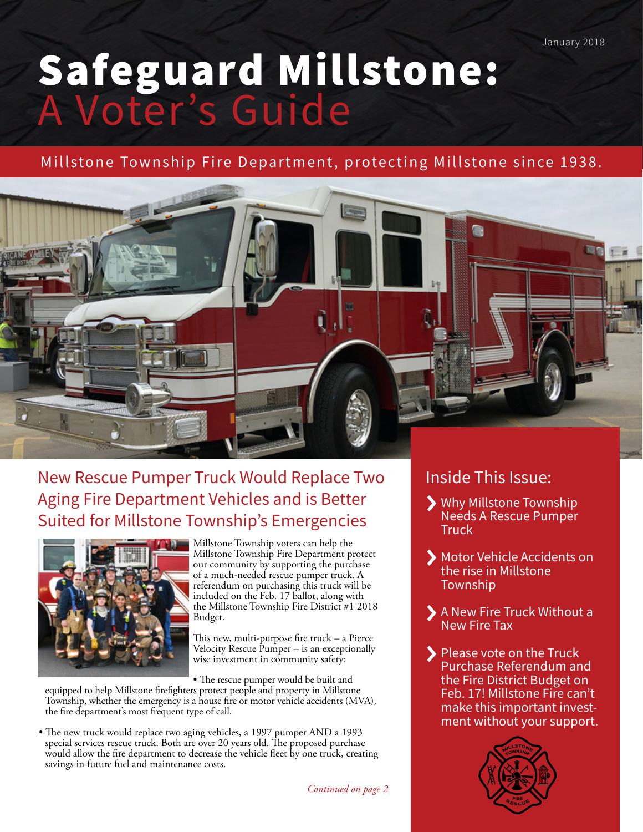January 2018

# Safeguard Millstone: A Voter's Guide

Millstone Township Fire Department, protecting Millstone since 1938.



# New Rescue Pumper Truck Would Replace Two Aging Fire Department Vehicles and is Better Suited for Millstone Township's Emergencies



Millstone Township voters can help the Millstone Township Fire Department protect our community by supporting the purchase of a much-needed rescue pumper truck. A referendum on purchasing this truck will be included on the Feb. 17 ballot, along with the Millstone Township Fire District #1 2018 Budget.

This new, multi-purpose fire truck – a Pierce Velocity Rescue Pumper – is an exceptionally wise investment in community safety:

• The rescue pumper would be built and

equipped to help Millstone firefighters protect people and property in Millstone Township, whether the emergency is a house fire or motor vehicle accidents (MVA), the fire department's most frequent type of call.

• The new truck would replace two aging vehicles, a 1997 pumper AND a 1993 special services rescue truck. Both are over 20 years old. The proposed purchase would allow the fire department to decrease the vehicle fleet by one truck, creating savings in future fuel and maintenance costs.

# Inside This Issue:

- Why Millstone Township Needs A Rescue Pumper **Truck**
- Motor Vehicle Accidents on the rise in Millstone **Township**
- A New Fire Truck Without a New Fire Tax
- Please vote on the Truck Purchase Referendum and the Fire District Budget on Feb. 17! Millstone Fire can't make this important investment without your support.

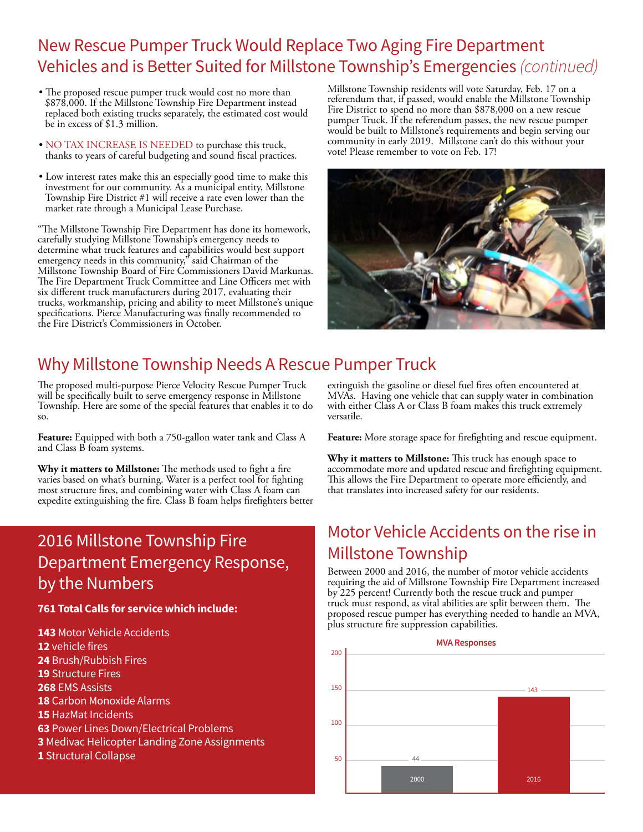# New Rescue Pumper Truck Would Replace Two Aging Fire Department Vehicles and is Better Suited for Millstone Township's Emergencies *(continued)*

- The proposed rescue pumper truck would cost no more than \$878,000. If the Millstone Township Fire Department instead replaced both existing trucks separately, the estimated cost would be in excess of \$1.3 million.
- NO TAX INCREASE IS NEEDED to purchase this truck, thanks to years of careful budgeting and sound fiscal practices.
- Low interest rates make this an especially good time to make this investment for our community. As a municipal entity, Millstone Township Fire District #1 will receive a rate even lower than the market rate through a Municipal Lease Purchase.

"The Millstone Township Fire Department has done its homework, carefully studying Millstone Township's emergency needs to determine what truck features and capabilities would best support emergency needs in this community," said Chairman of the Millstone Township Board of Fire Commissioners David Markunas. The Fire Department Truck Committee and Line Officers met with six different truck manufacturers during 2017, evaluating their trucks, workmanship, pricing and ability to meet Millstone's unique specifications. Pierce Manufacturing was finally recommended to the Fire District's Commissioners in October.

Millstone Township residents will vote Saturday, Feb. 17 on a referendum that, if passed, would enable the Millstone Township Fire District to spend no more than \$878,000 on a new rescue pumper Truck. If the referendum passes, the new rescue pumper would be built to Millstone's requirements and begin serving our community in early 2019. Millstone can't do this without your vote! Please remember to vote on Feb. 17!



# Why Millstone Township Needs A Rescue Pumper Truck

The proposed multi-purpose Pierce Velocity Rescue Pumper Truck will be specifically built to serve emergency response in Millstone Township. Here are some of the special features that enables it to do so.

**Feature:** Equipped with both a 750-gallon water tank and Class A and Class B foam systems.

**Why it matters to Millstone:** The methods used to fight a fire varies based on what's burning. Water is a perfect tool for fighting most structure fires, and combining water with Class A foam can expedite extinguishing the fire. Class B foam helps firefighters better

# 2016 Millstone Township Fire Department Emergency Response, by the Numbers

## **761 Total Calls for service which include:**

 Motor Vehicle Accidents vehicle fires Brush/Rubbish Fires Structure Fires EMS Assists Carbon Monoxide Alarms HazMat Incidents Power Lines Down/Electrical Problems Medivac Helicopter Landing Zone Assignments Structural Collapse

extinguish the gasoline or diesel fuel fires often encountered at MVAs. Having one vehicle that can supply water in combination with either Class A or Class B foam makes this truck extremely versatile.

**Feature:** More storage space for firefighting and rescue equipment.

**Why it matters to Millstone:** This truck has enough space to accommodate more and updated rescue and firefighting equipment. This allows the Fire Department to operate more efficiently, and that translates into increased safety for our residents.

# Motor Vehicle Accidents on the rise in Millstone Township

Between 2000 and 2016, the number of motor vehicle accidents requiring the aid of Millstone Township Fire Department increased by 225 percent! Currently both the rescue truck and pumper truck must respond, as vital abilities are split between them. The proposed rescue pumper has everything needed to handle an MVA, plus structure fire suppression capabilities.

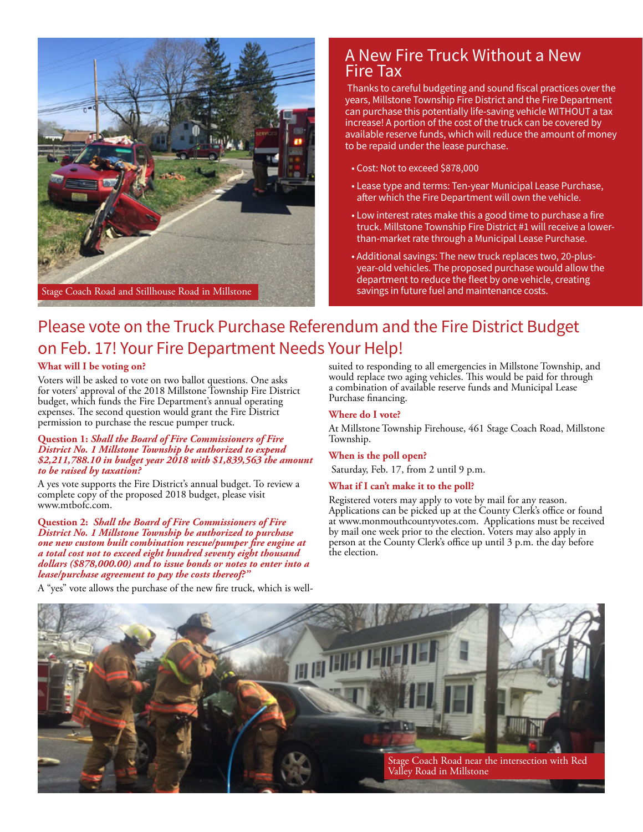

## A New Fire Truck Without a New Fire Tax

 Thanks to careful budgeting and sound fiscal practices over the years, Millstone Township Fire District and the Fire Department can purchase this potentially life-saving vehicle WITHOUT a tax increase! A portion of the cost of the truck can be covered by available reserve funds, which will reduce the amount of money to be repaid under the lease purchase.

- Cost: Not to exceed \$878,000
- Lease type and terms: Ten-year Municipal Lease Purchase, after which the Fire Department will own the vehicle.
- Low interest rates make this a good time to purchase a fire truck. Millstone Township Fire District #1 will receive a lowerthan-market rate through a Municipal Lease Purchase.
- Additional savings: The new truck replaces two, 20-plusyear-old vehicles. The proposed purchase would allow the department to reduce the fleet by one vehicle, creating savings in future fuel and maintenance costs.

# Please vote on the Truck Purchase Referendum and the Fire District Budget on Feb. 17! Your Fire Department Needs Your Help!

## **What will I be voting on?**

Voters will be asked to vote on two ballot questions. One asks for voters' approval of the 2018 Millstone Township Fire District budget, which funds the Fire Department's annual operating expenses. The second question would grant the Fire District permission to purchase the rescue pumper truck.

#### **Question 1:** *Shall the Board of Fire Commissioners of Fire District No. 1 Millstone Township be authorized to expend \$2,211,788.10 in budget year 2018 with \$1,839,563 the amount to be raised by taxation?*

A yes vote supports the Fire District's annual budget. To review a complete copy of the proposed 2018 budget, please visit www.mtbofc.com.

**Question 2:** *Shall the Board of Fire Commissioners of Fire District No. 1 Millstone Township be authorized to purchase one new custom built combination rescue/pumper fire engine at a total cost not to exceed eight hundred seventy eight thousand dollars (\$878,000.00) and to issue bonds or notes to enter into a lease/purchase agreement to pay the costs thereof?"*

suited to responding to all emergencies in Millstone Township, and would replace two aging vehicles. This would be paid for through a combination of available reserve funds and Municipal Lease Purchase financing.

## **Where do I vote?**

At Millstone Township Firehouse, 461 Stage Coach Road, Millstone Township.

## **When is the poll open?**

Saturday, Feb. 17, from 2 until 9 p.m.

### **What if I can't make it to the poll?**

Registered voters may apply to vote by mail for any reason. Applications can be picked up at the County Clerk's office or found at www.monmouthcountyvotes.com. Applications must be received by mail one week prior to the election. Voters may also apply in person at the County Clerk's office up until 3 p.m. the day before the election.



A "yes" vote allows the purchase of the new fire truck, which is well-